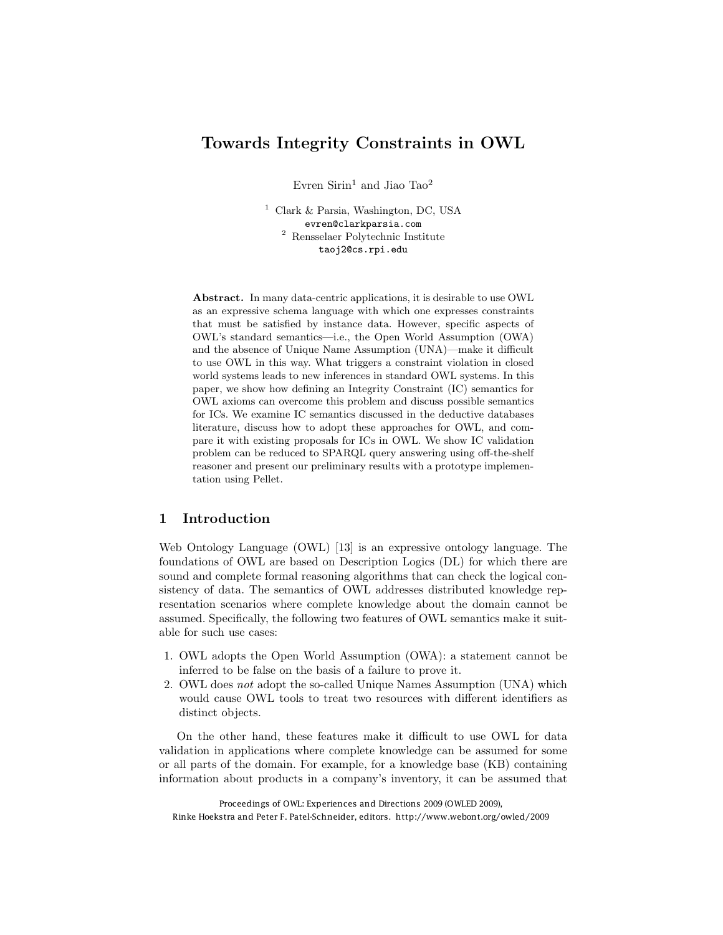# Towards Integrity Constraints in OWL

Evren Sirin<sup>1</sup> and Jiao Tao<sup>2</sup>

<sup>1</sup> Clark & Parsia, Washington, DC, USA evren@clarkparsia.com <sup>2</sup> Rensselaer Polytechnic Institute taoj2@cs.rpi.edu

Abstract. In many data-centric applications, it is desirable to use OWL as an expressive schema language with which one expresses constraints that must be satisfied by instance data. However, specific aspects of OWL's standard semantics—i.e., the Open World Assumption (OWA) and the absence of Unique Name Assumption (UNA)—make it difficult to use OWL in this way. What triggers a constraint violation in closed world systems leads to new inferences in standard OWL systems. In this paper, we show how defining an Integrity Constraint (IC) semantics for OWL axioms can overcome this problem and discuss possible semantics for ICs. We examine IC semantics discussed in the deductive databases literature, discuss how to adopt these approaches for OWL, and compare it with existing proposals for ICs in OWL. We show IC validation problem can be reduced to SPARQL query answering using off-the-shelf reasoner and present our preliminary results with a prototype implementation using Pellet.

# 1 Introduction

Web Ontology Language (OWL) [13] is an expressive ontology language. The foundations of OWL are based on Description Logics (DL) for which there are sound and complete formal reasoning algorithms that can check the logical consistency of data. The semantics of OWL addresses distributed knowledge representation scenarios where complete knowledge about the domain cannot be assumed. Specifically, the following two features of OWL semantics make it suitable for such use cases:

- 1. OWL adopts the Open World Assumption (OWA): a statement cannot be inferred to be false on the basis of a failure to prove it.
- 2. OWL does *not* adopt the so-called Unique Names Assumption (UNA) which would cause OWL tools to treat two resources with different identifiers as distinct objects.

On the other hand, these features make it difficult to use OWL for data validation in applications where complete knowledge can be assumed for some or all parts of the domain. For example, for a knowledge base (KB) containing information about products in a company's inventory, it can be assumed that

Proceedings of OWL: Experiences and Directions 2009 (OWLED 2009), Rinke Hoekstra and Peter F. Patel-Schneider, editors. http://www.webont.org/owled/2009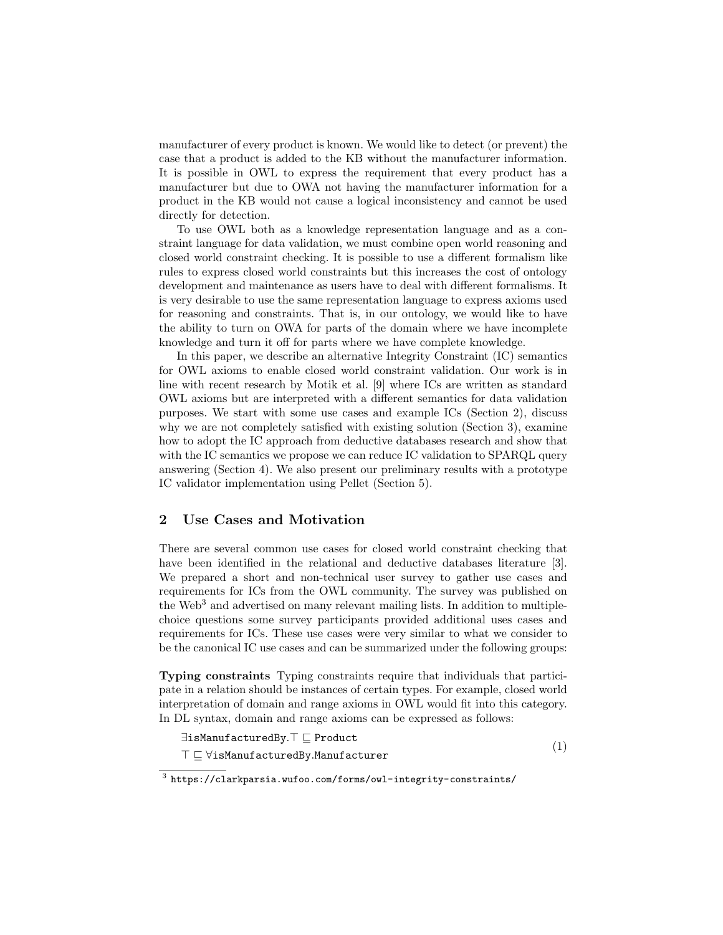manufacturer of every product is known. We would like to detect (or prevent) the case that a product is added to the KB without the manufacturer information. It is possible in OWL to express the requirement that every product has a manufacturer but due to OWA not having the manufacturer information for a product in the KB would not cause a logical inconsistency and cannot be used directly for detection.

To use OWL both as a knowledge representation language and as a constraint language for data validation, we must combine open world reasoning and closed world constraint checking. It is possible to use a different formalism like rules to express closed world constraints but this increases the cost of ontology development and maintenance as users have to deal with different formalisms. It is very desirable to use the same representation language to express axioms used for reasoning and constraints. That is, in our ontology, we would like to have the ability to turn on OWA for parts of the domain where we have incomplete knowledge and turn it off for parts where we have complete knowledge.

In this paper, we describe an alternative Integrity Constraint (IC) semantics for OWL axioms to enable closed world constraint validation. Our work is in line with recent research by Motik et al. [9] where ICs are written as standard OWL axioms but are interpreted with a different semantics for data validation purposes. We start with some use cases and example ICs (Section 2), discuss why we are not completely satisfied with existing solution (Section 3), examine how to adopt the IC approach from deductive databases research and show that with the IC semantics we propose we can reduce IC validation to SPARQL query answering (Section 4). We also present our preliminary results with a prototype IC validator implementation using Pellet (Section 5).

### 2 Use Cases and Motivation

There are several common use cases for closed world constraint checking that have been identified in the relational and deductive databases literature [3]. We prepared a short and non-technical user survey to gather use cases and requirements for ICs from the OWL community. The survey was published on the  $Web<sup>3</sup>$  and advertised on many relevant mailing lists. In addition to multiplechoice questions some survey participants provided additional uses cases and requirements for ICs. These use cases were very similar to what we consider to be the canonical IC use cases and can be summarized under the following groups:

Typing constraints Typing constraints require that individuals that participate in a relation should be instances of certain types. For example, closed world interpretation of domain and range axioms in OWL would fit into this category. In DL syntax, domain and range axioms can be expressed as follows:

$$
\exists \texttt{isManufacturedBy}.\top \sqsubseteq \texttt{Product} \\ \top \sqsubseteq \forall \texttt{isManufacturedBy}.\texttt{Manufacturer} \tag{1}
$$

<sup>3</sup> https://clarkparsia.wufoo.com/forms/owl-integrity-constraints/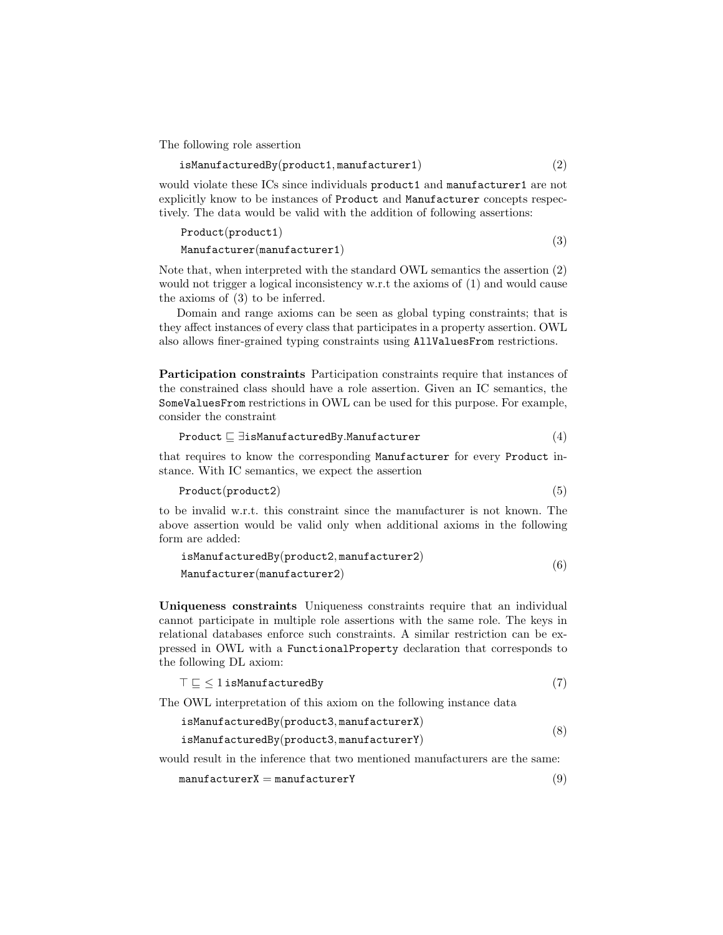The following role assertion

$$
\verb|isManufacturedBy(product1, \verb|manufacturer1|) \qquad \qquad (2)
$$

would violate these ICs since individuals product1 and manufacturer1 are not explicitly know to be instances of Product and Manufacturer concepts respectively. The data would be valid with the addition of following assertions:

```
Product(product1)
\text{Manufacturer}(\text{manufacturer1}) (3)
```
Note that, when interpreted with the standard OWL semantics the assertion (2) would not trigger a logical inconsistency w.r.t the axioms of  $(1)$  and would cause the axioms of (3) to be inferred.

Domain and range axioms can be seen as global typing constraints; that is they affect instances of every class that participates in a property assertion. OWL also allows finer-grained typing constraints using AllValuesFrom restrictions.

Participation constraints Participation constraints require that instances of the constrained class should have a role assertion. Given an IC semantics, the SomeValuesFrom restrictions in OWL can be used for this purpose. For example, consider the constraint

$$
\texttt{Product} \sqsubseteq \exists \texttt{isMannfacturedBy.Mannfacturer} \qquad (4)
$$

that requires to know the corresponding Manufacturer for every Product instance. With IC semantics, we expect the assertion

Product(product2) (5)

to be invalid w.r.t. this constraint since the manufacturer is not known. The above assertion would be valid only when additional axioms in the following form are added:

$$
\verb|isManufacturedBy(product2, \verb'manufacturer2)|\n\nManufacturer(\verb'manufacturer2)|\n(6)
$$

Uniqueness constraints Uniqueness constraints require that an individual cannot participate in multiple role assertions with the same role. The keys in relational databases enforce such constraints. A similar restriction can be expressed in OWL with a FunctionalProperty declaration that corresponds to the following DL axiom:

```
\top \sqsubseteq \leq 1 isManufacturedBy (7)
```
The OWL interpretation of this axiom on the following instance data

| isManufacturedBy(product3, manufacturerX) |  |
|-------------------------------------------|--|
| isManufacturedBy(product3, manufacturerY) |  |

would result in the inference that two mentioned manufacturers are the same:

$$
\mathtt{manufacturerX} = \mathtt{manufacturerY} \tag{9}
$$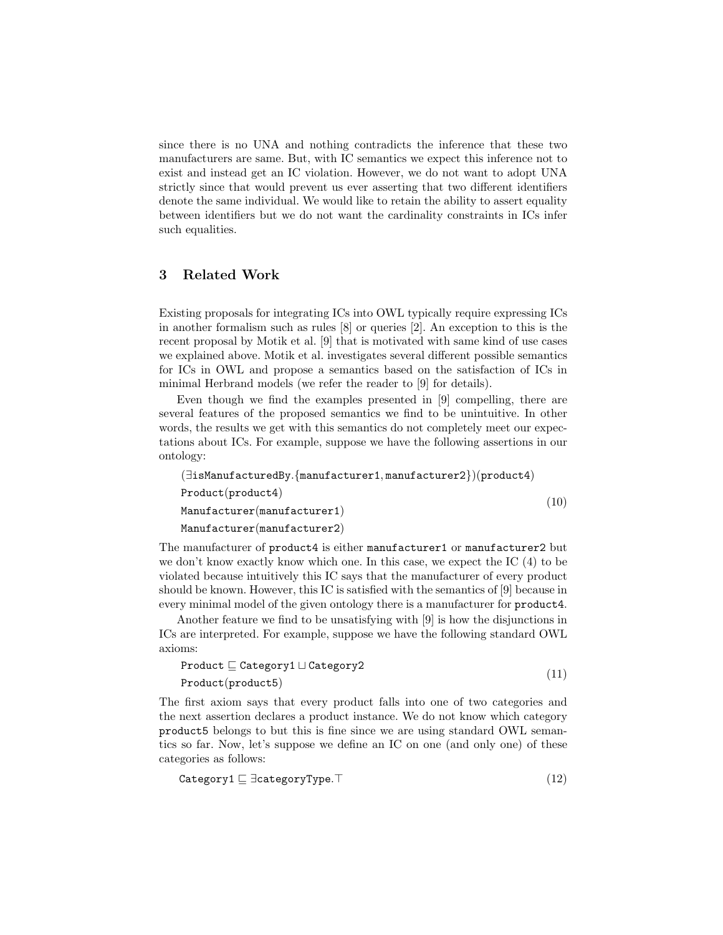since there is no UNA and nothing contradicts the inference that these two manufacturers are same. But, with IC semantics we expect this inference not to exist and instead get an IC violation. However, we do not want to adopt UNA strictly since that would prevent us ever asserting that two different identifiers denote the same individual. We would like to retain the ability to assert equality between identifiers but we do not want the cardinality constraints in ICs infer such equalities.

# 3 Related Work

Existing proposals for integrating ICs into OWL typically require expressing ICs in another formalism such as rules [8] or queries [2]. An exception to this is the recent proposal by Motik et al. [9] that is motivated with same kind of use cases we explained above. Motik et al. investigates several different possible semantics for ICs in OWL and propose a semantics based on the satisfaction of ICs in minimal Herbrand models (we refer the reader to [9] for details).

Even though we find the examples presented in [9] compelling, there are several features of the proposed semantics we find to be unintuitive. In other words, the results we get with this semantics do not completely meet our expectations about ICs. For example, suppose we have the following assertions in our ontology:

```
(∃isManufacturedBy.{manufacturer1, manufacturer2})(product4)
Product(product4)
Manufacturer(manufacturer1)
Manufacturer(manufacturer2)
                                                               (10)
```
The manufacturer of product4 is either manufacturer1 or manufacturer2 but we don't know exactly know which one. In this case, we expect the IC (4) to be violated because intuitively this IC says that the manufacturer of every product should be known. However, this IC is satisfied with the semantics of [9] because in every minimal model of the given ontology there is a manufacturer for product4.

Another feature we find to be unsatisfying with [9] is how the disjunctions in ICs are interpreted. For example, suppose we have the following standard OWL axioms:

$$
\begin{array}{l}\n\text{Product} \sqsubseteq \text{Category1} \sqcup \text{Category2} \\
\text{Product}(\text{product5})\n\end{array} \tag{11}
$$

The first axiom says that every product falls into one of two categories and the next assertion declares a product instance. We do not know which category product5 belongs to but this is fine since we are using standard OWL semantics so far. Now, let's suppose we define an IC on one (and only one) of these categories as follows:

$$
\texttt{Category1} \sqsubseteq \exists \texttt{categoryType}.\top \tag{12}
$$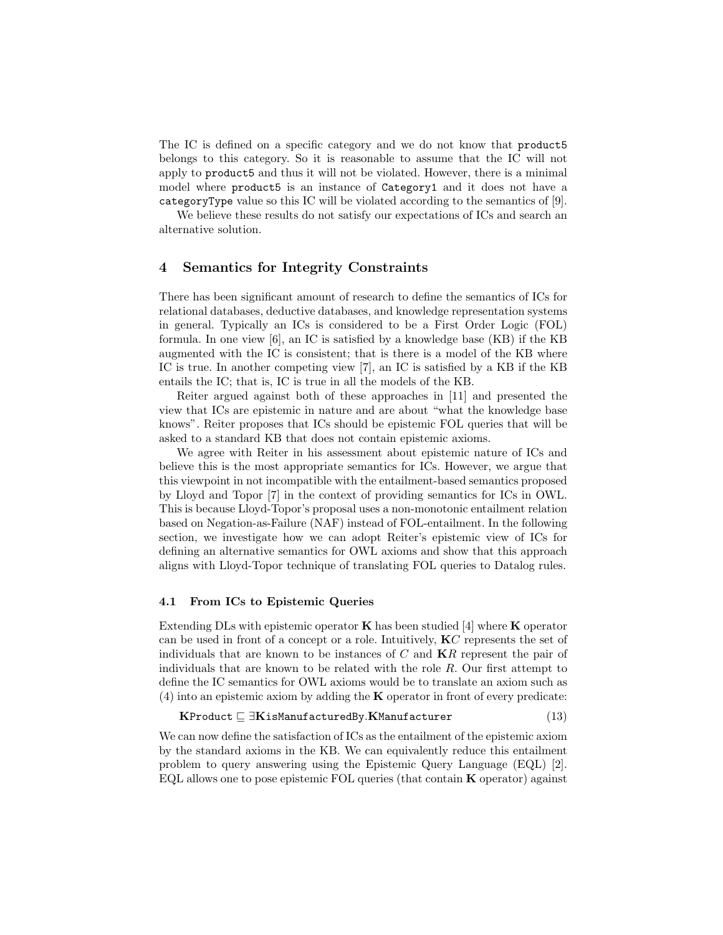The IC is defined on a specific category and we do not know that product5 belongs to this category. So it is reasonable to assume that the IC will not apply to product5 and thus it will not be violated. However, there is a minimal model where product5 is an instance of Category1 and it does not have a categoryType value so this IC will be violated according to the semantics of [9].

We believe these results do not satisfy our expectations of ICs and search an alternative solution.

### 4 Semantics for Integrity Constraints

There has been significant amount of research to define the semantics of ICs for relational databases, deductive databases, and knowledge representation systems in general. Typically an ICs is considered to be a First Order Logic (FOL) formula. In one view [6], an IC is satisfied by a knowledge base (KB) if the KB augmented with the IC is consistent; that is there is a model of the KB where IC is true. In another competing view [7], an IC is satisfied by a KB if the KB entails the IC; that is, IC is true in all the models of the KB.

Reiter argued against both of these approaches in [11] and presented the view that ICs are epistemic in nature and are about "what the knowledge base knows". Reiter proposes that ICs should be epistemic FOL queries that will be asked to a standard KB that does not contain epistemic axioms.

We agree with Reiter in his assessment about epistemic nature of ICs and believe this is the most appropriate semantics for ICs. However, we argue that this viewpoint in not incompatible with the entailment-based semantics proposed by Lloyd and Topor [7] in the context of providing semantics for ICs in OWL. This is because Lloyd-Topor's proposal uses a non-monotonic entailment relation based on Negation-as-Failure (NAF) instead of FOL-entailment. In the following section, we investigate how we can adopt Reiter's epistemic view of ICs for defining an alternative semantics for OWL axioms and show that this approach aligns with Lloyd-Topor technique of translating FOL queries to Datalog rules.

#### 4.1 From ICs to Epistemic Queries

Extending DLs with epistemic operator  $\bf{K}$  has been studied [4] where  $\bf{K}$  operator can be used in front of a concept or a role. Intuitively, K*C* represents the set of individuals that are known to be instances of *C* and K*R* represent the pair of individuals that are known to be related with the role *R*. Our first attempt to define the IC semantics for OWL axioms would be to translate an axiom such as  $(4)$  into an epistemic axiom by adding the **K** operator in front of every predicate:

KProduct  $\Box$ **KisManufacturedBy.KManufacturer** (13)

We can now define the satisfaction of ICs as the entailment of the epistemic axiom by the standard axioms in the KB. We can equivalently reduce this entailment problem to query answering using the Epistemic Query Language (EQL) [2]. EQL allows one to pose epistemic FOL queries (that contain K operator) against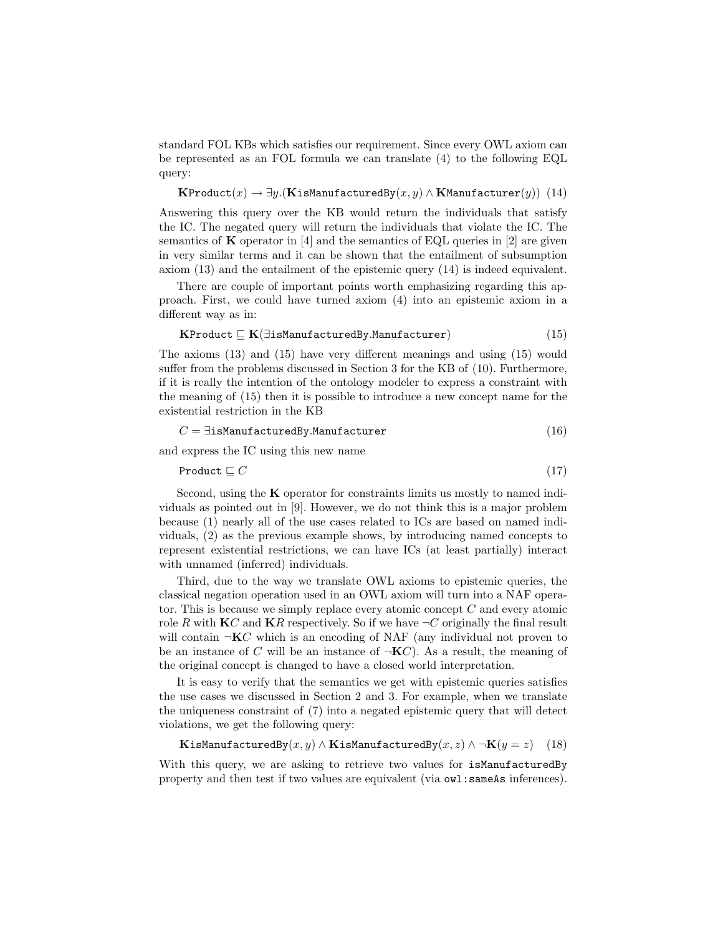standard FOL KBs which satisfies our requirement. Since every OWL axiom can be represented as an FOL formula we can translate (4) to the following EQL query:

 $\mathbf{KProduct}(x) \rightarrow \exists y. (\mathbf{KisManut actually}(x, y) \land \mathbf{KManufacturer}(y))$  (14)

Answering this query over the KB would return the individuals that satisfy the IC. The negated query will return the individuals that violate the IC. The semantics of  $\bf{K}$  operator in [4] and the semantics of EQL queries in [2] are given in very similar terms and it can be shown that the entailment of subsumption axiom (13) and the entailment of the epistemic query (14) is indeed equivalent.

There are couple of important points worth emphasizing regarding this approach. First, we could have turned axiom (4) into an epistemic axiom in a different way as in:

$$
\textbf{KProduct} \sqsubseteq \textbf{K}(\exists \texttt{isManufacturedBy.Manufacturer}) \tag{15}
$$

The axioms (13) and (15) have very different meanings and using (15) would suffer from the problems discussed in Section 3 for the KB of (10). Furthermore, if it is really the intention of the ontology modeler to express a constraint with the meaning of (15) then it is possible to introduce a new concept name for the existential restriction in the KB

$$
C = \exists \texttt{isManufacturedBy.} \texttt{Manufacturer} \tag{16}
$$

and express the IC using this new name

$$
Product \sqsubseteq C \tag{17}
$$

Second, using the **K** operator for constraints limits us mostly to named individuals as pointed out in [9]. However, we do not think this is a major problem because (1) nearly all of the use cases related to ICs are based on named individuals, (2) as the previous example shows, by introducing named concepts to represent existential restrictions, we can have ICs (at least partially) interact with unnamed (inferred) individuals.

Third, due to the way we translate OWL axioms to epistemic queries, the classical negation operation used in an OWL axiom will turn into a NAF operator. This is because we simply replace every atomic concept *C* and every atomic role *R* with **K***C* and **K***R* respectively. So if we have  $\neg$ *C* originally the final result will contain  $\neg$ **K** $C$  which is an encoding of NAF (any individual not proven to be an instance of *C* will be an instance of  $\neg K C$ ). As a result, the meaning of the original concept is changed to have a closed world interpretation.

It is easy to verify that the semantics we get with epistemic queries satisfies the use cases we discussed in Section 2 and 3. For example, when we translate the uniqueness constraint of (7) into a negated epistemic query that will detect violations, we get the following query:

```
KisManufacturedBy(x, y) \wedgeKisManufacturedBy(x, z) \wedge \negK(y = z) (18)
```
With this query, we are asking to retrieve two values for isManufacturedBy property and then test if two values are equivalent (via owl:sameAs inferences).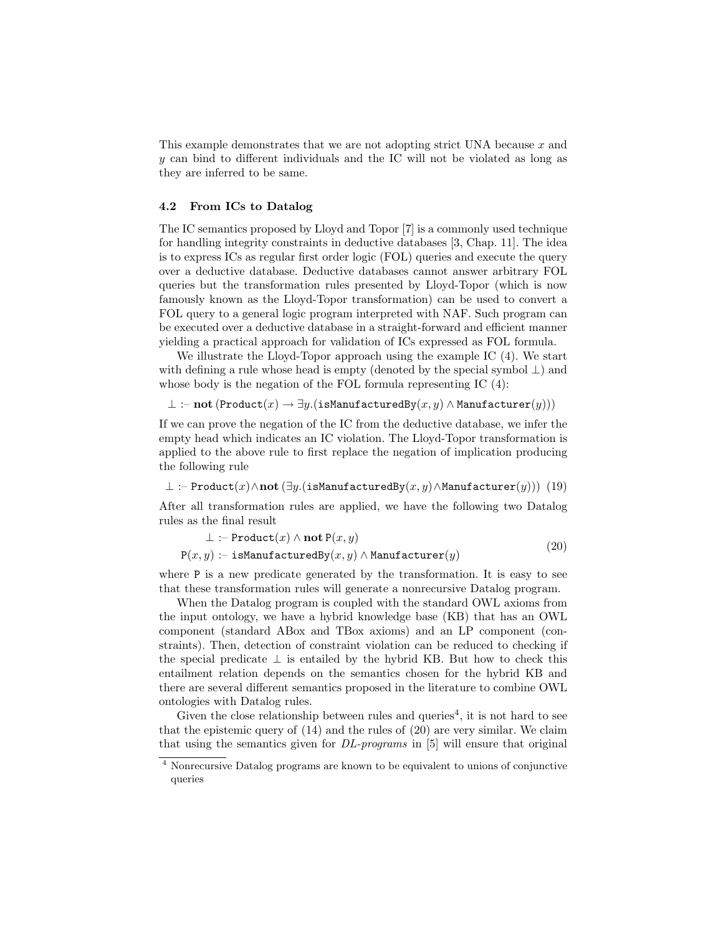This example demonstrates that we are not adopting strict UNA because *x* and *y* can bind to different individuals and the IC will not be violated as long as they are inferred to be same.

#### 4.2 From ICs to Datalog

The IC semantics proposed by Lloyd and Topor [7] is a commonly used technique for handling integrity constraints in deductive databases [3, Chap. 11]. The idea is to express ICs as regular first order logic (FOL) queries and execute the query over a deductive database. Deductive databases cannot answer arbitrary FOL queries but the transformation rules presented by Lloyd-Topor (which is now famously known as the Lloyd-Topor transformation) can be used to convert a FOL query to a general logic program interpreted with NAF. Such program can be executed over a deductive database in a straight-forward and efficient manner yielding a practical approach for validation of ICs expressed as FOL formula.

We illustrate the Lloyd-Topor approach using the example IC  $(4)$ . We start with defining a rule whose head is empty (denoted by the special symbol  $\perp$ ) and whose body is the negation of the FOL formula representing IC (4):

 $\bot$  :– not (Product(*x*) →  $\exists y$ .(isManufacturedBy(*x, y*)  $\land$  Manufacturer(*y*)))

If we can prove the negation of the IC from the deductive database, we infer the empty head which indicates an IC violation. The Lloyd-Topor transformation is applied to the above rule to first replace the negation of implication producing the following rule

⊥ :– Product(*x*)∧not (∃*y.*(isManufacturedBy(*x, y*)∧Manufacturer(*y*))) (19)

After all transformation rules are applied, we have the following two Datalog rules as the final result

$$
\bot \coloneq \text{Product}(x) \land \text{not } P(x, y) \tag{20}
$$

$$
P(x, y) := is \text{MannifacturedBy}(x, y) \land \text{Mannifacturer}(y)
$$
\n
$$
(20)
$$

where P is a new predicate generated by the transformation. It is easy to see that these transformation rules will generate a nonrecursive Datalog program.

When the Datalog program is coupled with the standard OWL axioms from the input ontology, we have a hybrid knowledge base (KB) that has an OWL component (standard ABox and TBox axioms) and an LP component (constraints). Then, detection of constraint violation can be reduced to checking if the special predicate  $\perp$  is entailed by the hybrid KB. But how to check this entailment relation depends on the semantics chosen for the hybrid KB and there are several different semantics proposed in the literature to combine OWL ontologies with Datalog rules.

Given the close relationship between rules and queries<sup>4</sup>, it is not hard to see that the epistemic query of (14) and the rules of (20) are very similar. We claim that using the semantics given for *DL-programs* in [5] will ensure that original

<sup>4</sup> Nonrecursive Datalog programs are known to be equivalent to unions of conjunctive queries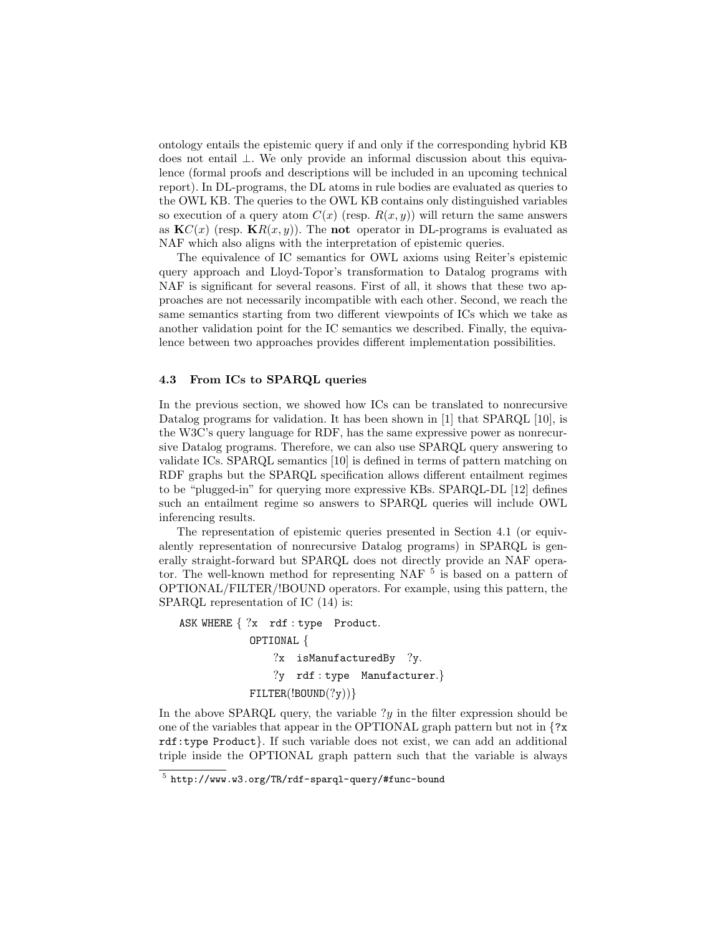ontology entails the epistemic query if and only if the corresponding hybrid KB does not entail ⊥. We only provide an informal discussion about this equivalence (formal proofs and descriptions will be included in an upcoming technical report). In DL-programs, the DL atoms in rule bodies are evaluated as queries to the OWL KB. The queries to the OWL KB contains only distinguished variables so execution of a query atom  $C(x)$  (resp.  $R(x, y)$ ) will return the same answers as  $\mathbf{K}C(x)$  (resp.  $\mathbf{K}R(x, y)$ ). The **not** operator in DL-programs is evaluated as NAF which also aligns with the interpretation of epistemic queries.

The equivalence of IC semantics for OWL axioms using Reiter's epistemic query approach and Lloyd-Topor's transformation to Datalog programs with NAF is significant for several reasons. First of all, it shows that these two approaches are not necessarily incompatible with each other. Second, we reach the same semantics starting from two different viewpoints of ICs which we take as another validation point for the IC semantics we described. Finally, the equivalence between two approaches provides different implementation possibilities.

#### 4.3 From ICs to SPARQL queries

In the previous section, we showed how ICs can be translated to nonrecursive Datalog programs for validation. It has been shown in [1] that SPARQL [10], is the W3C's query language for RDF, has the same expressive power as nonrecursive Datalog programs. Therefore, we can also use SPARQL query answering to validate ICs. SPARQL semantics [10] is defined in terms of pattern matching on RDF graphs but the SPARQL specification allows different entailment regimes to be "plugged-in" for querying more expressive KBs. SPARQL-DL [12] defines such an entailment regime so answers to SPARQL queries will include OWL inferencing results.

The representation of epistemic queries presented in Section 4.1 (or equivalently representation of nonrecursive Datalog programs) in SPARQL is generally straight-forward but SPARQL does not directly provide an NAF operator. The well-known method for representing NAF  $5$  is based on a pattern of OPTIONAL/FILTER/!BOUND operators. For example, using this pattern, the SPARQL representation of IC (14) is:

ASK WHERE *{* ?x rdf : type Product*.* OPTIONAL *{* ?x isManufacturedBy ?y*.* ?y rdf : type Manufacturer*.}* FILTER(!BOUND(?y))*}*

In the above SPARQL query, the variable  $?y$  in the filter expression should be one of the variables that appear in the OPTIONAL graph pattern but not in *{*?x rdf:type Product*}*. If such variable does not exist, we can add an additional triple inside the OPTIONAL graph pattern such that the variable is always

<sup>5</sup> http://www.w3.org/TR/rdf-sparql-query/#func-bound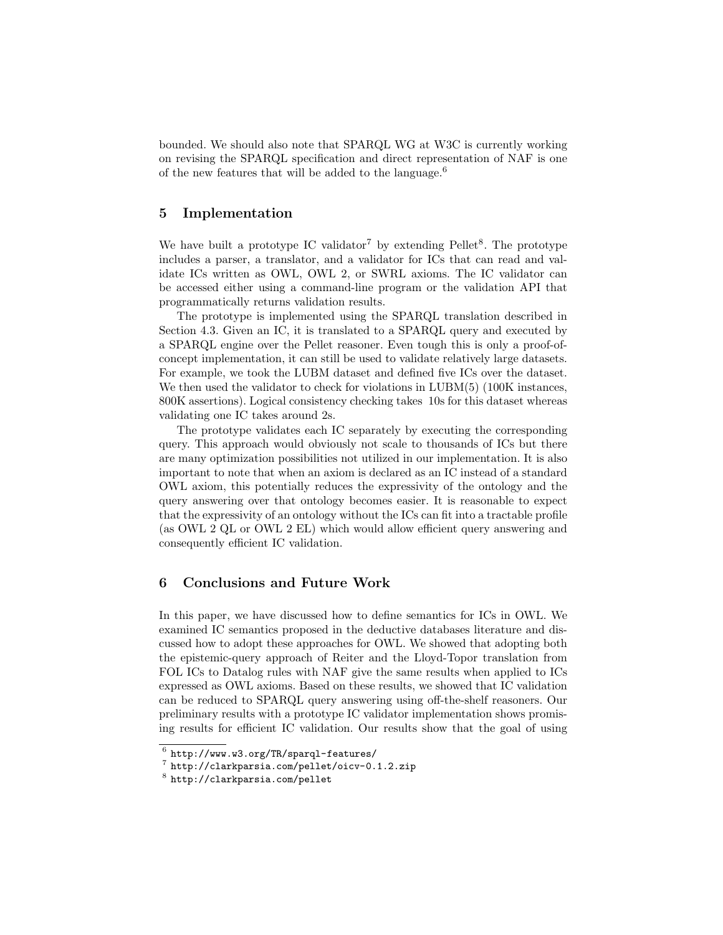bounded. We should also note that SPARQL WG at W3C is currently working on revising the SPARQL specification and direct representation of NAF is one of the new features that will be added to the language.<sup>6</sup>

# 5 Implementation

We have built a prototype IC validator<sup>7</sup> by extending  $Pelle^{8}$ . The prototype includes a parser, a translator, and a validator for ICs that can read and validate ICs written as OWL, OWL 2, or SWRL axioms. The IC validator can be accessed either using a command-line program or the validation API that programmatically returns validation results.

The prototype is implemented using the SPARQL translation described in Section 4.3. Given an IC, it is translated to a SPARQL query and executed by a SPARQL engine over the Pellet reasoner. Even tough this is only a proof-ofconcept implementation, it can still be used to validate relatively large datasets. For example, we took the LUBM dataset and defined five ICs over the dataset. We then used the validator to check for violations in LUBM(5) (100K instances, 800K assertions). Logical consistency checking takes 10s for this dataset whereas validating one IC takes around 2s.

The prototype validates each IC separately by executing the corresponding query. This approach would obviously not scale to thousands of ICs but there are many optimization possibilities not utilized in our implementation. It is also important to note that when an axiom is declared as an IC instead of a standard OWL axiom, this potentially reduces the expressivity of the ontology and the query answering over that ontology becomes easier. It is reasonable to expect that the expressivity of an ontology without the ICs can fit into a tractable profile (as OWL 2 QL or OWL 2 EL) which would allow efficient query answering and consequently efficient IC validation.

# 6 Conclusions and Future Work

In this paper, we have discussed how to define semantics for ICs in OWL. We examined IC semantics proposed in the deductive databases literature and discussed how to adopt these approaches for OWL. We showed that adopting both the epistemic-query approach of Reiter and the Lloyd-Topor translation from FOL ICs to Datalog rules with NAF give the same results when applied to ICs expressed as OWL axioms. Based on these results, we showed that IC validation can be reduced to SPARQL query answering using off-the-shelf reasoners. Our preliminary results with a prototype IC validator implementation shows promising results for efficient IC validation. Our results show that the goal of using

 $6$  http://www.w3.org/TR/sparql-features/

<sup>7</sup> http://clarkparsia.com/pellet/oicv-0.1.2.zip

<sup>8</sup> http://clarkparsia.com/pellet